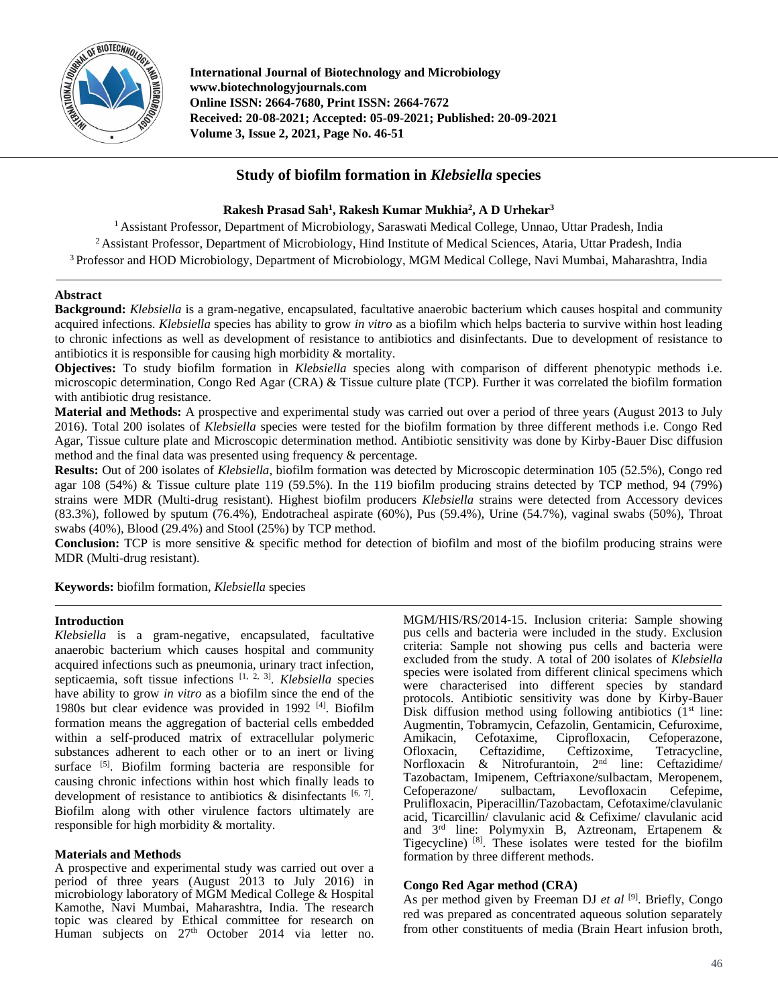

**International Journal of Biotechnology and Microbiology www.biotechnologyjournals.com Online ISSN: 2664-7680, Print ISSN: 2664-7672 Received: 20-08-2021; Accepted: 05-09-2021; Published: 20-09-2021 Volume 3, Issue 2, 2021, Page No. 46-51**

# **Study of biofilm formation in** *Klebsiella* **species**

# **Rakesh Prasad Sah<sup>1</sup> , Rakesh Kumar Mukhia<sup>2</sup> , A D Urhekar<sup>3</sup>**

<sup>1</sup> Assistant Professor, Department of Microbiology, Saraswati Medical College, Unnao, Uttar Pradesh, India <sup>2</sup> Assistant Professor, Department of Microbiology, Hind Institute of Medical Sciences, Ataria, Uttar Pradesh, India <sup>3</sup> Professor and HOD Microbiology, Department of Microbiology, MGM Medical College, Navi Mumbai, Maharashtra, India

# **Abstract**

**Background:** *Klebsiella* is a gram-negative, encapsulated, facultative anaerobic bacterium which causes hospital and community acquired infections. *Klebsiella* species has ability to grow *in vitro* as a biofilm which helps bacteria to survive within host leading to chronic infections as well as development of resistance to antibiotics and disinfectants. Due to development of resistance to antibiotics it is responsible for causing high morbidity & mortality.

**Objectives:** To study biofilm formation in *Klebsiella* species along with comparison of different phenotypic methods i.e. microscopic determination, Congo Red Agar (CRA) & Tissue culture plate (TCP). Further it was correlated the biofilm formation with antibiotic drug resistance.

**Material and Methods:** A prospective and experimental study was carried out over a period of three years (August 2013 to July 2016). Total 200 isolates of *Klebsiella* species were tested for the biofilm formation by three different methods i.e. Congo Red Agar, Tissue culture plate and Microscopic determination method. Antibiotic sensitivity was done by Kirby-Bauer Disc diffusion method and the final data was presented using frequency & percentage.

**Results:** Out of 200 isolates of *Klebsiella*, biofilm formation was detected by Microscopic determination 105 (52.5%), Congo red agar 108 (54%) & Tissue culture plate 119 (59.5%). In the 119 biofilm producing strains detected by TCP method, 94 (79%) strains were MDR (Multi-drug resistant). Highest biofilm producers *Klebsiella* strains were detected from Accessory devices (83.3%), followed by sputum (76.4%), Endotracheal aspirate (60%), Pus (59.4%), Urine (54.7%), vaginal swabs (50%), Throat swabs (40%), Blood (29.4%) and Stool (25%) by TCP method.

**Conclusion:** TCP is more sensitive & specific method for detection of biofilm and most of the biofilm producing strains were MDR (Multi-drug resistant).

**Keywords:** biofilm formation, *Klebsiella* species

## **Introduction**

*Klebsiella* is a gram-negative, encapsulated, facultative anaerobic bacterium which causes hospital and community acquired infections such as pneumonia, urinary tract infection, septicaemia, soft tissue infections [1, 2, 3] . *Klebsiella* species have ability to grow *in vitro* as a biofilm since the end of the 1980s but clear evidence was provided in 1992<sup>[4]</sup>. Biofilm formation means the aggregation of bacterial cells embedded within a self-produced matrix of extracellular polymeric substances adherent to each other or to an inert or living surface [5]. Biofilm forming bacteria are responsible for causing chronic infections within host which finally leads to development of resistance to antibiotics  $\&$  disinfectants  $[6, 7]$ . Biofilm along with other virulence factors ultimately are responsible for high morbidity & mortality.

## **Materials and Methods**

A prospective and experimental study was carried out over a period of three years (August 2013 to July 2016) in microbiology laboratory of MGM Medical College & Hospital Kamothe, Navi Mumbai, Maharashtra, India. The research topic was cleared by Ethical committee for research on Human subjects on 27<sup>th</sup> October 2014 via letter no.

MGM/HIS/RS/2014-15. Inclusion criteria: Sample showing pus cells and bacteria were included in the study. Exclusion criteria: Sample not showing pus cells and bacteria were excluded from the study. A total of 200 isolates of *Klebsiella*  species were isolated from different clinical specimens which were characterised into different species by standard protocols. Antibiotic sensitivity was done by Kirby-Bauer Disk diffusion method using following antibiotics  $(1<sup>st</sup>$  line: Augmentin, Tobramycin, Cefazolin, Gentamicin, Cefuroxime, Amikacin, Cefotaxime, Ciprofloxacin, Cefoperazone, Ofloxacin, Ceftazidime, Ceftizoxime, Tetracycline, Norfloxacin & Nitrofurantoin, 2nd line: Ceftazidime/ Tazobactam, Imipenem, Ceftriaxone/sulbactam, Meropenem, Cefoperazone/ sulbactam, Levofloxacin Cefepime, Prulifloxacin, Piperacillin/Tazobactam, Cefotaxime/clavulanic acid, Ticarcillin/ clavulanic acid & Cefixime/ clavulanic acid and 3rd line: Polymyxin B, Aztreonam, Ertapenem & Tigecycline) [8]. These isolates were tested for the biofilm formation by three different methods.

## **Congo Red Agar method (CRA)**

As per method given by Freeman DJ *et al* [9] . Briefly, Congo red was prepared as concentrated aqueous solution separately from other constituents of media (Brain Heart infusion broth,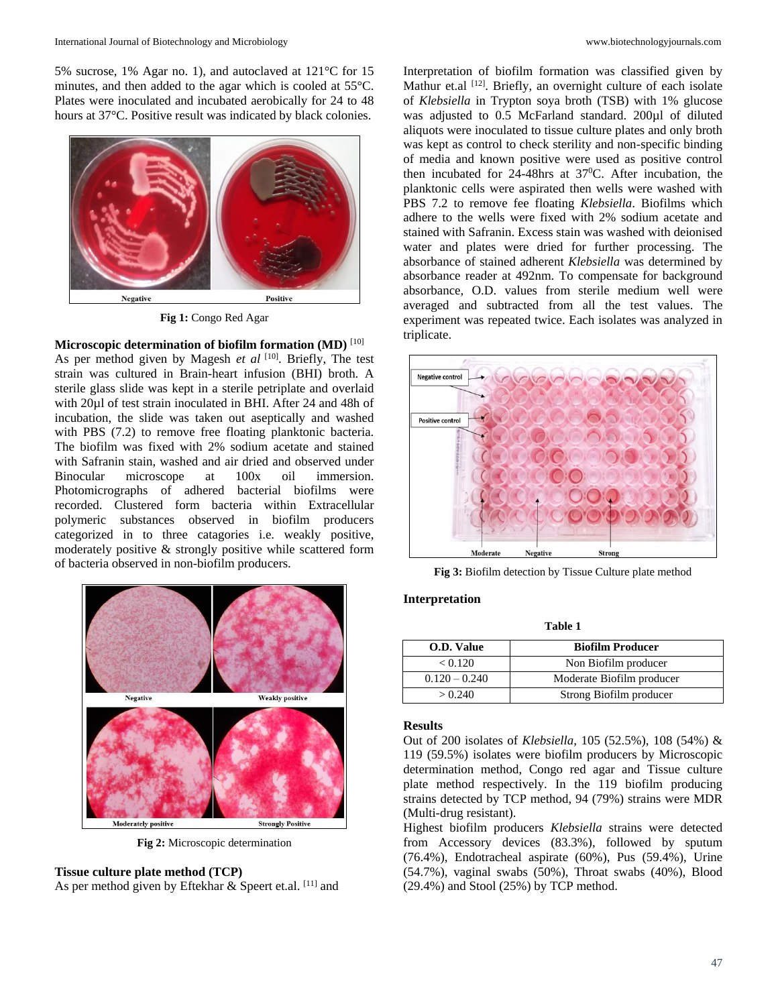5% sucrose, 1% Agar no. 1), and autoclaved at 121°C for 15 minutes, and then added to the agar which is cooled at 55°C. Plates were inoculated and incubated aerobically for 24 to 48 hours at 37°C. Positive result was indicated by black colonies.



**Fig 1:** Congo Red Agar

# **Microscopic determination of biofilm formation (MD)** [10] As per method given by Magesh *et al* [10]. Briefly, The test

strain was cultured in Brain-heart infusion (BHI) broth. A sterile glass slide was kept in a sterile petriplate and overlaid with 20µl of test strain inoculated in BHI. After 24 and 48h of incubation, the slide was taken out aseptically and washed with PBS (7.2) to remove free floating planktonic bacteria. The biofilm was fixed with 2% sodium acetate and stained with Safranin stain, washed and air dried and observed under Binocular microscope at 100x oil immersion. Photomicrographs of adhered bacterial biofilms were recorded. Clustered form bacteria within Extracellular polymeric substances observed in biofilm producers categorized in to three catagories i.e. weakly positive, moderately positive & strongly positive while scattered form of bacteria observed in non-biofilm producers.



**Fig 2:** Microscopic determination

# **Tissue culture plate method (TCP)**

As per method given by Eftekhar & Speert et.al. [11] and

Interpretation of biofilm formation was classified given by Mathur et.al <sup>[12]</sup>. Briefly, an overnight culture of each isolate of *Klebsiella* in Trypton soya broth (TSB) with 1% glucose was adjusted to 0.5 McFarland standard. 200µl of diluted aliquots were inoculated to tissue culture plates and only broth was kept as control to check sterility and non-specific binding of media and known positive were used as positive control then incubated for  $24-48$ hrs at  $37^{\circ}$ C. After incubation, the planktonic cells were aspirated then wells were washed with PBS 7.2 to remove fee floating *Klebsiella*. Biofilms which adhere to the wells were fixed with 2% sodium acetate and stained with Safranin. Excess stain was washed with deionised water and plates were dried for further processing. The absorbance of stained adherent *Klebsiella* was determined by absorbance reader at 492nm. To compensate for background absorbance, O.D. values from sterile medium well were averaged and subtracted from all the test values. The experiment was repeated twice. Each isolates was analyzed in triplicate.



**Fig 3:** Biofilm detection by Tissue Culture plate method

#### **Interpretation**

**Table 1**

| O.D. Value      | <b>Biofilm Producer</b>   |  |  |  |  |
|-----------------|---------------------------|--|--|--|--|
| < 0.120         | Non Biofilm producer      |  |  |  |  |
| $0.120 - 0.240$ | Moderate Biofilm producer |  |  |  |  |
| > 0.240         | Strong Biofilm producer   |  |  |  |  |

#### **Results**

Out of 200 isolates of *Klebsiella,* 105 (52.5%), 108 (54%) & 119 (59.5%) isolates were biofilm producers by Microscopic determination method, Congo red agar and Tissue culture plate method respectively. In the 119 biofilm producing strains detected by TCP method, 94 (79%) strains were MDR (Multi-drug resistant).

Highest biofilm producers *Klebsiella* strains were detected from Accessory devices (83.3%), followed by sputum (76.4%), Endotracheal aspirate (60%), Pus (59.4%), Urine (54.7%), vaginal swabs (50%), Throat swabs (40%), Blood (29.4%) and Stool (25%) by TCP method.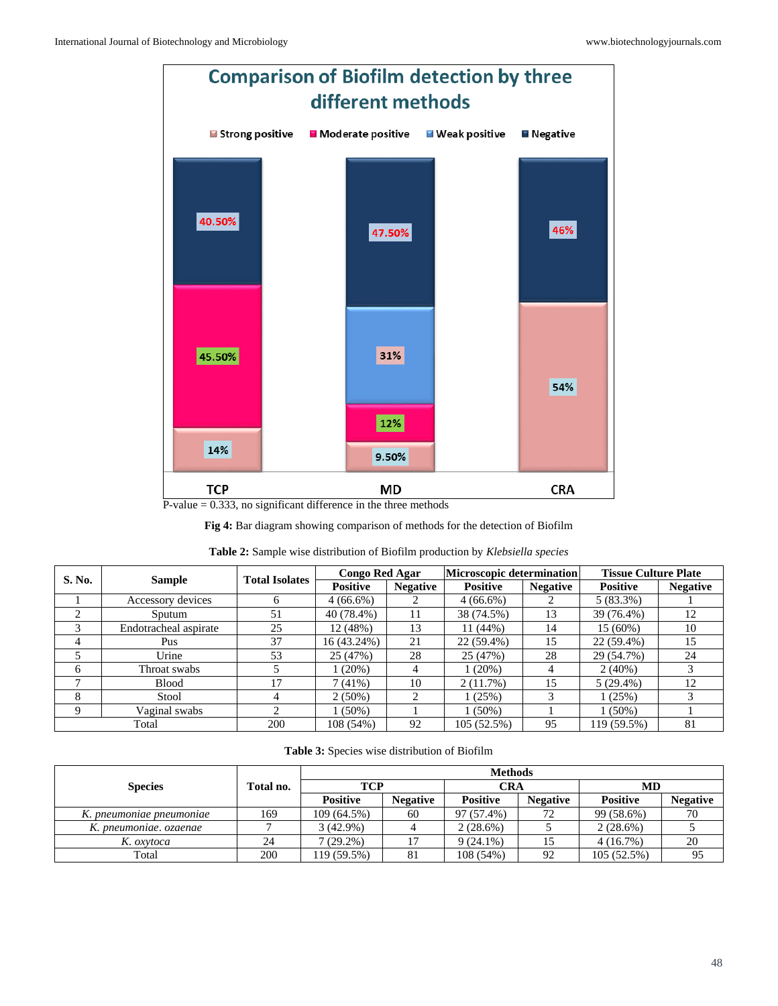

 $P-value = 0.333$ , no significant difference in the three methods

**Fig 4:** Bar diagram showing comparison of methods for the detection of Biofilm

| S. No. | <b>Sample</b>         | <b>Total Isolates</b> | <b>Congo Red Agar</b> |                 | <b>Microscopic determination</b> |                 | <b>Tissue Culture Plate</b> |                 |
|--------|-----------------------|-----------------------|-----------------------|-----------------|----------------------------------|-----------------|-----------------------------|-----------------|
|        |                       |                       | <b>Positive</b>       | <b>Negative</b> | <b>Positive</b>                  | <b>Negative</b> | <b>Positive</b>             | <b>Negative</b> |
|        | Accessory devices     | <sub>0</sub>          | $4(66.6\%)$           |                 | $4(66.6\%)$                      |                 | 5(83.3%)                    |                 |
| ◠<br>∠ | Sputum                | 51                    | 40 (78.4%)            | 11              | 38 (74.5%)                       | 13              | 39 (76.4%)                  | 12              |
|        | Endotracheal aspirate | 25                    | 12(48%)               | 13              | 11(44%)                          | 14              | $15(60\%)$                  | 10              |
| 4      | Pus                   | 37                    | 16 (43.24%)           | 21              | 22 (59.4%)                       | 15              | 22 (59.4%)                  | 15              |
|        | Urine                 | 53                    | 25 (47%)              | 28              | 25 (47%)                         | 28              | 29 (54.7%)                  | 24              |
| 6      | Throat swabs          |                       | $1(20\%)$             | 4               | $1(20\%)$                        | 4               | $2(40\%)$                   |                 |
|        | <b>Blood</b>          | 17                    | 7(41%)                | 10              | 2(11.7%)                         | 15              | $5(29.4\%)$                 | 12              |
| 8      | Stool                 | 4                     | $2(50\%)$             | 2               | 1(25%)                           |                 | 1(25%)                      |                 |
| Q      | Vaginal swabs         | ◠                     | $1(50\%)$             |                 | $1(50\%)$                        |                 | $1(50\%)$                   |                 |
|        | Total                 | 200                   | 108 (54%)             | 92              | 105 (52.5%)                      | 95              | 119 (59.5%)                 | 81              |

| <b>Table 2:</b> Sample wise distribution of Biofilm production by <i>Klebsiella species</i> |  |
|---------------------------------------------------------------------------------------------|--|
|                                                                                             |  |

|                          |           | <b>Methods</b>  |                 |                 |                 |                 |                 |  |
|--------------------------|-----------|-----------------|-----------------|-----------------|-----------------|-----------------|-----------------|--|
| <b>Species</b>           | Total no. | TCP             |                 | <b>CRA</b>      |                 | MD              |                 |  |
|                          |           | <b>Positive</b> | <b>Negative</b> | <b>Positive</b> | <b>Negative</b> | <b>Positive</b> | <b>Negative</b> |  |
| K. pneumoniae pneumoniae | 169       | 109 (64.5%)     | 60              | 97 (57.4%)      | 72              | 99 (58.6%)      | 70              |  |
| K. pneumoniae. ozaenae   |           | $3(42.9\%)$     |                 | $2(28.6\%)$     |                 | $2(28.6\%)$     |                 |  |
| K. oxytoca               | 24        | $7(29.2\%)$     |                 | $9(24.1\%)$     |                 | 4(16.7%)        | 20              |  |
| Total                    | 200       | 119 (59.5%)     | 81              | 108(54%)        | 92              | 105 (52.5%)     | 95              |  |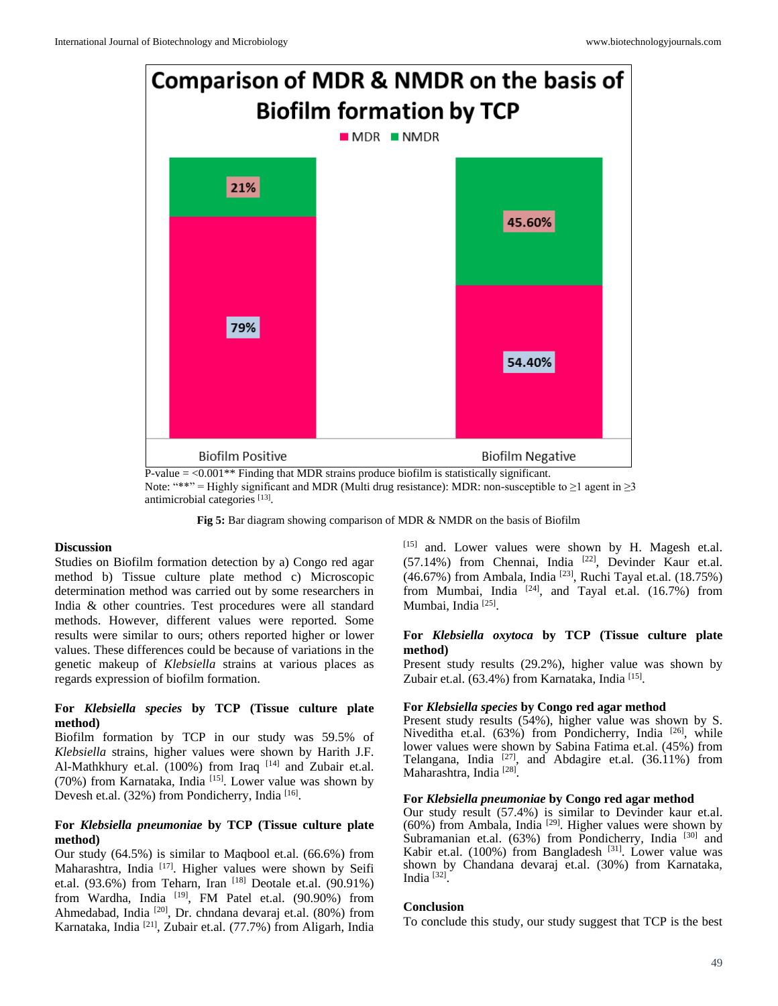

Note: "\*\*" = Highly significant and MDR (Multi drug resistance): MDR: non-susceptible to ≥1 agent in ≥3 antimicrobial categories [13].

**Fig 5:** Bar diagram showing comparison of MDR & NMDR on the basis of Biofilm

#### **Discussion**

Studies on Biofilm formation detection by a) Congo red agar method b) Tissue culture plate method c) Microscopic determination method was carried out by some researchers in India & other countries. Test procedures were all standard methods. However, different values were reported. Some results were similar to ours; others reported higher or lower values. These differences could be because of variations in the genetic makeup of *Klebsiella* strains at various places as regards expression of biofilm formation.

## **For** *Klebsiella species* **by TCP (Tissue culture plate method)**

Biofilm formation by TCP in our study was 59.5% of *Klebsiella* strains, higher values were shown by Harith J.F. Al-Mathkhury et.al. (100%) from Iraq [14] and Zubair et.al. (70%) from Karnataka, India  $[15]$ . Lower value was shown by Devesh et.al. (32%) from Pondicherry, India<sup>[16]</sup>.

# **For** *Klebsiella pneumoniae* **by TCP (Tissue culture plate method)**

Our study (64.5%) is similar to Maqbool et.al. (66.6%) from Maharashtra, India  $[17]$ . Higher values were shown by Seifi et.al. (93.6%) from Teharn, Iran  $^{[18]}$  Deotale et.al. (90.91%) from Wardha, India <sup>[19]</sup>, FM Patel et.al. (90.90%) from Ahmedabad, India [20], Dr. chndana devaraj et.al. (80%) from Karnataka, India [21], Zubair et.al. (77.7%) from Aligarh, India

[15] and. Lower values were shown by H. Magesh et.al.  $(57.14\%)$  from Chennai, India  $[22]$ , Devinder Kaur et.al.  $(46.67%)$  from Ambala, India <sup>[23]</sup>, Ruchi Tayal et.al.  $(18.75%)$ from Mumbai, India  $[24]$ , and Tayal et.al. (16.7%) from Mumbai, India<sup>[25]</sup>.

## **For** *Klebsiella oxytoca* **by TCP (Tissue culture plate method)**

Present study results (29.2%), higher value was shown by Zubair et.al. (63.4%) from Karnataka, India<sup>[15]</sup>.

#### **For** *Klebsiella species* **by Congo red agar method**

Present study results (54%), higher value was shown by S. Niveditha et.al. (63%) from Pondicherry, India<sup>[26]</sup>, while lower values were shown by Sabina Fatima et.al. (45%) from Telangana, India  $[27]$ , and Abdagire et.al. (36.11%) from Maharashtra, India<sup>[28]</sup>.

#### **For** *Klebsiella pneumoniae* **by Congo red agar method**

Our study result (57.4%) is similar to Devinder kaur et.al.  $(60%)$  from Ambala, India <sup>[29]</sup>. Higher values were shown by Subramanian et.al. (63%) from Pondicherry, India [30] and Kabir et.al. (100%) from Bangladesh  $[31]$ . Lower value was shown by Chandana devaraj et.al. (30%) from Karnataka, India<sup>[32]</sup>.

## **Conclusion**

To conclude this study, our study suggest that TCP is the best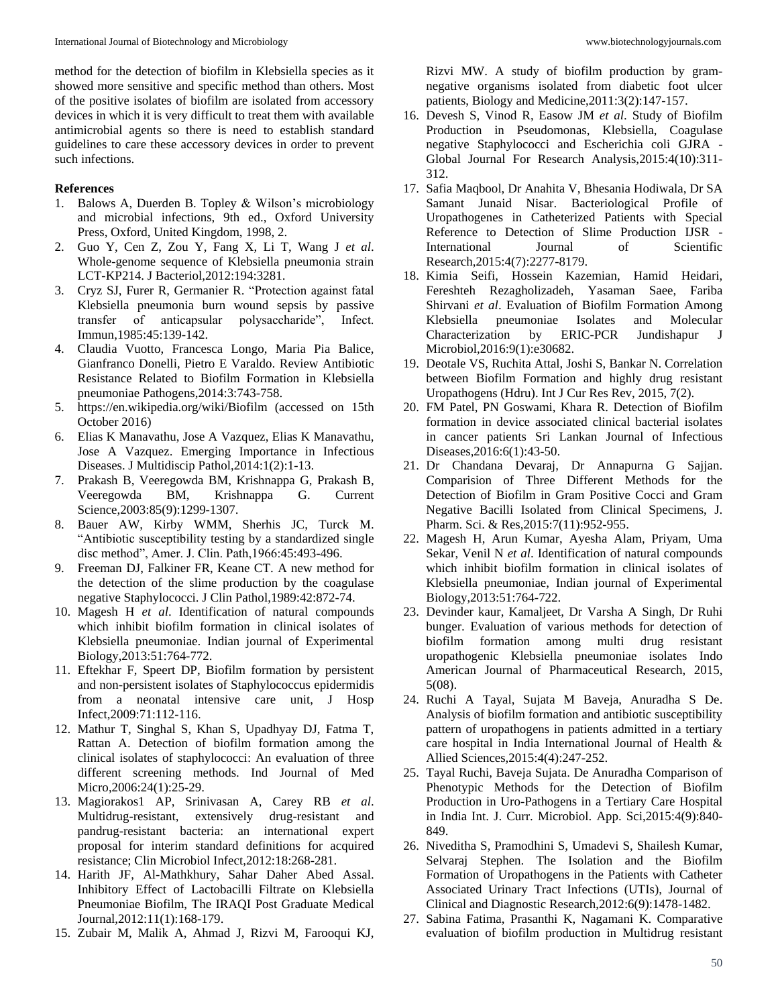method for the detection of biofilm in Klebsiella species as it showed more sensitive and specific method than others. Most of the positive isolates of biofilm are isolated from accessory devices in which it is very difficult to treat them with available antimicrobial agents so there is need to establish standard guidelines to care these accessory devices in order to prevent such infections.

## **References**

- 1. Balows A, Duerden B. Topley & Wilson's microbiology and microbial infections, 9th ed., Oxford University Press, Oxford, United Kingdom, 1998, 2.
- 2. Guo Y, Cen Z, Zou Y, Fang X, Li T, Wang J *et al*. Whole-genome sequence of Klebsiella pneumonia strain LCT-KP214. J Bacteriol,2012:194:3281.
- 3. Cryz SJ, Furer R, Germanier R. "Protection against fatal Klebsiella pneumonia burn wound sepsis by passive transfer of anticapsular polysaccharide", Infect. Immun,1985:45:139-142.
- 4. Claudia Vuotto, Francesca Longo, Maria Pia Balice, Gianfranco Donelli, Pietro E Varaldo. Review Antibiotic Resistance Related to Biofilm Formation in Klebsiella pneumoniae Pathogens,2014:3:743-758.
- 5. https://en.wikipedia.org/wiki/Biofilm (accessed on 15th October 2016)
- 6. Elias K Manavathu, Jose A Vazquez, Elias K Manavathu, Jose A Vazquez. Emerging Importance in Infectious Diseases. J Multidiscip Pathol,2014:1(2):1-13.
- 7. Prakash B, Veeregowda BM, Krishnappa G, Prakash B, Veeregowda BM, Krishnappa G. Current Science,2003:85(9):1299-1307.
- 8. Bauer AW, Kirby WMM, Sherhis JC, Turck M. "Antibiotic susceptibility testing by a standardized single disc method", Amer. J. Clin. Path,1966:45:493-496.
- 9. Freeman DJ, Falkiner FR, Keane CT. A new method for the detection of the slime production by the coagulase negative Staphylococci. J Clin Pathol,1989:42:872-74.
- 10. Magesh H *et al*. Identification of natural compounds which inhibit biofilm formation in clinical isolates of Klebsiella pneumoniae. Indian journal of Experimental Biology,2013:51:764-772.
- 11. Eftekhar F, Speert DP, Biofilm formation by persistent and non-persistent isolates of Staphylococcus epidermidis from a neonatal intensive care unit, J Hosp Infect,2009:71:112-116.
- 12. Mathur T, Singhal S, Khan S, Upadhyay DJ, Fatma T, Rattan A. Detection of biofilm formation among the clinical isolates of staphylococci: An evaluation of three different screening methods. Ind Journal of Med Micro,2006:24(1):25-29.
- 13. Magiorakos1 AP, Srinivasan A, Carey RB *et al*. Multidrug-resistant, extensively drug-resistant and pandrug-resistant bacteria: an international expert proposal for interim standard definitions for acquired resistance; Clin Microbiol Infect,2012:18:268-281.
- 14. Harith JF, Al-Mathkhury, Sahar Daher Abed Assal. Inhibitory Effect of Lactobacilli Filtrate on Klebsiella Pneumoniae Biofilm, The IRAQI Post Graduate Medical Journal,2012:11(1):168-179.
- 15. Zubair M, Malik A, Ahmad J, Rizvi M, Farooqui KJ,

Rizvi MW. A study of biofilm production by gramnegative organisms isolated from diabetic foot ulcer patients, Biology and Medicine,2011:3(2):147-157.

- 16. Devesh S, Vinod R, Easow JM *et al*. Study of Biofilm Production in Pseudomonas, Klebsiella, Coagulase negative Staphylococci and Escherichia coli GJRA - Global Journal For Research Analysis,2015:4(10):311- 312.
- 17. Safia Maqbool, Dr Anahita V, Bhesania Hodiwala, Dr SA Samant Junaid Nisar. Bacteriological Profile of Uropathogenes in Catheterized Patients with Special Reference to Detection of Slime Production IJSR - International Journal of Scientific Research,2015:4(7):2277-8179.
- 18. Kimia Seifi, Hossein Kazemian, Hamid Heidari, Fereshteh Rezagholizadeh, Yasaman Saee, Fariba Shirvani *et al*. Evaluation of Biofilm Formation Among Klebsiella pneumoniae Isolates and Molecular Characterization by ERIC-PCR Jundishapur J Microbiol,2016:9(1):e30682.
- 19. Deotale VS, Ruchita Attal, Joshi S, Bankar N. Correlation between Biofilm Formation and highly drug resistant Uropathogens (Hdru). Int J Cur Res Rev, 2015, 7(2).
- 20. FM Patel, PN Goswami, Khara R. Detection of Biofilm formation in device associated clinical bacterial isolates in cancer patients Sri Lankan Journal of Infectious Diseases,2016:6(1):43-50.
- 21. Dr Chandana Devaraj, Dr Annapurna G Sajjan. Comparision of Three Different Methods for the Detection of Biofilm in Gram Positive Cocci and Gram Negative Bacilli Isolated from Clinical Specimens, J. Pharm. Sci. & Res,2015:7(11):952-955.
- 22. Magesh H, Arun Kumar, Ayesha Alam, Priyam, Uma Sekar, Venil N *et al*. Identification of natural compounds which inhibit biofilm formation in clinical isolates of Klebsiella pneumoniae, Indian journal of Experimental Biology,2013:51:764-722.
- 23. Devinder kaur, Kamaljeet, Dr Varsha A Singh, Dr Ruhi bunger. Evaluation of various methods for detection of biofilm formation among multi drug resistant uropathogenic Klebsiella pneumoniae isolates Indo American Journal of Pharmaceutical Research, 2015, 5(08).
- 24. Ruchi A Tayal, Sujata M Baveja, Anuradha S De. Analysis of biofilm formation and antibiotic susceptibility pattern of uropathogens in patients admitted in a tertiary care hospital in India International Journal of Health & Allied Sciences,2015:4(4):247-252.
- 25. Tayal Ruchi, Baveja Sujata. De Anuradha Comparison of Phenotypic Methods for the Detection of Biofilm Production in Uro-Pathogens in a Tertiary Care Hospital in India Int. J. Curr. Microbiol. App. Sci,2015:4(9):840- 849.
- 26. Niveditha S, Pramodhini S, Umadevi S, Shailesh Kumar, Selvaraj Stephen. The Isolation and the Biofilm Formation of Uropathogens in the Patients with Catheter Associated Urinary Tract Infections (UTIs), Journal of Clinical and Diagnostic Research,2012:6(9):1478-1482.
- 27. Sabina Fatima, Prasanthi K, Nagamani K. Comparative evaluation of biofilm production in Multidrug resistant